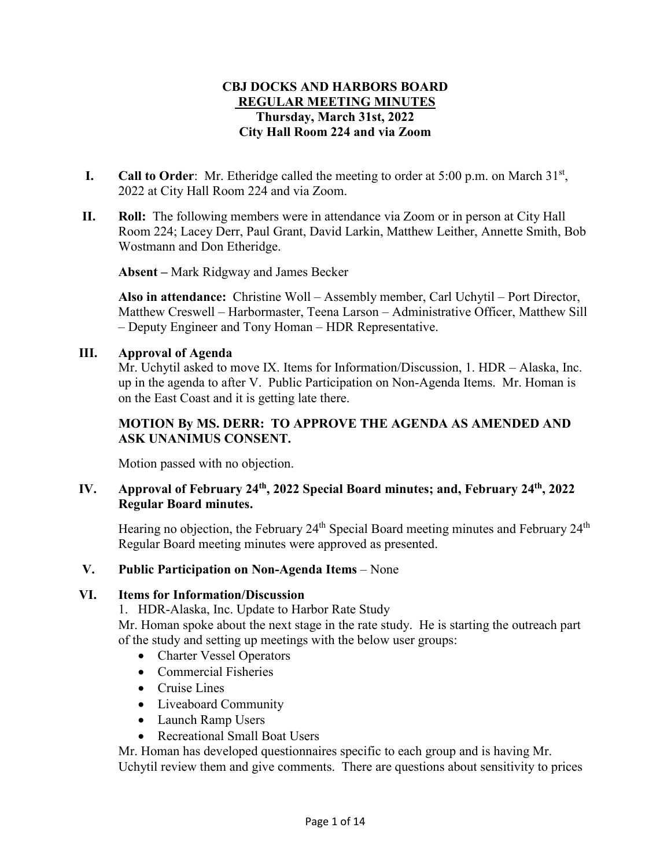# **CBJ DOCKS AND HARBORS BOARD REGULAR MEETING MINUTES Thursday, March 31st, 2022 City Hall Room 224 and via Zoom**

- **I. Call to Order**: Mr. Etheridge called the meeting to order at 5:00 p.m. on March  $31<sup>st</sup>$ , 2022 at City Hall Room 224 and via Zoom.
- **II. Roll:** The following members were in attendance via Zoom or in person at City Hall Room 224; Lacey Derr, Paul Grant, David Larkin, Matthew Leither, Annette Smith, Bob Wostmann and Don Etheridge.

**Absent –** Mark Ridgway and James Becker

**Also in attendance:** Christine Woll – Assembly member, Carl Uchytil – Port Director, Matthew Creswell – Harbormaster, Teena Larson – Administrative Officer, Matthew Sill – Deputy Engineer and Tony Homan – HDR Representative.

## **III. Approval of Agenda**

Mr. Uchytil asked to move IX. Items for Information/Discussion, 1. HDR – Alaska, Inc. up in the agenda to after V. Public Participation on Non-Agenda Items. Mr. Homan is on the East Coast and it is getting late there.

# **MOTION By MS. DERR: TO APPROVE THE AGENDA AS AMENDED AND ASK UNANIMUS CONSENT.**

Motion passed with no objection.

## **IV. Approval of February 24th, 2022 Special Board minutes; and, February 24th, 2022 Regular Board minutes.**

Hearing no objection, the February  $24<sup>th</sup>$  Special Board meeting minutes and February  $24<sup>th</sup>$ Regular Board meeting minutes were approved as presented.

## **V. Public Participation on Non-Agenda Items** – None

## **VI. Items for Information/Discussion**

1. HDR-Alaska, Inc. Update to Harbor Rate Study

Mr. Homan spoke about the next stage in the rate study. He is starting the outreach part of the study and setting up meetings with the below user groups:

- Charter Vessel Operators
- Commercial Fisheries
- Cruise Lines
- Liveaboard Community
- Launch Ramp Users
- Recreational Small Boat Users

Mr. Homan has developed questionnaires specific to each group and is having Mr. Uchytil review them and give comments. There are questions about sensitivity to prices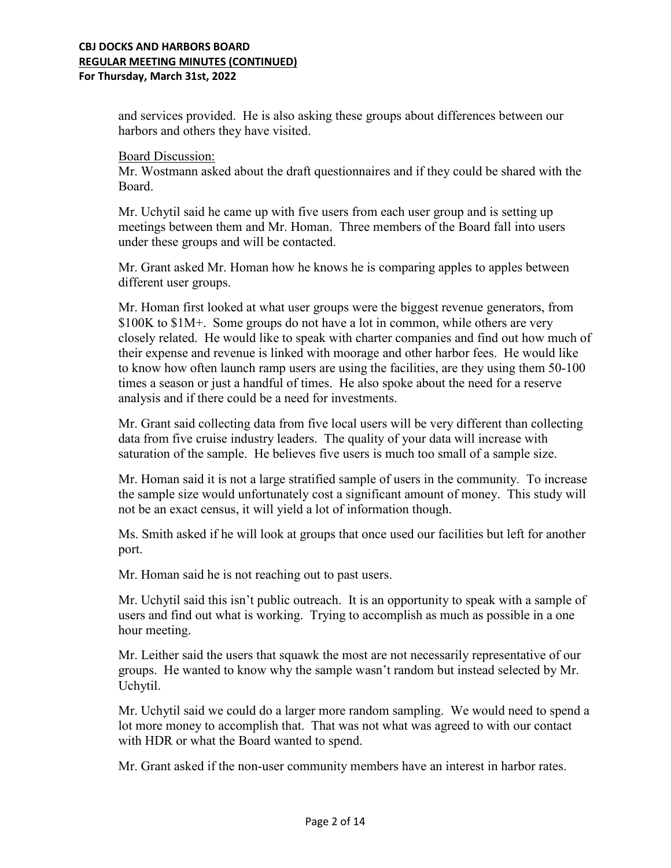### **CBJ DOCKS AND HARBORS BOARD REGULAR MEETING MINUTES (CONTINUED) For Thursday, March 31st, 2022**

and services provided. He is also asking these groups about differences between our harbors and others they have visited.

Board Discussion:

Mr. Wostmann asked about the draft questionnaires and if they could be shared with the Board.

Mr. Uchytil said he came up with five users from each user group and is setting up meetings between them and Mr. Homan. Three members of the Board fall into users under these groups and will be contacted.

Mr. Grant asked Mr. Homan how he knows he is comparing apples to apples between different user groups.

Mr. Homan first looked at what user groups were the biggest revenue generators, from \$100K to \$1M+. Some groups do not have a lot in common, while others are very closely related. He would like to speak with charter companies and find out how much of their expense and revenue is linked with moorage and other harbor fees. He would like to know how often launch ramp users are using the facilities, are they using them 50-100 times a season or just a handful of times. He also spoke about the need for a reserve analysis and if there could be a need for investments.

Mr. Grant said collecting data from five local users will be very different than collecting data from five cruise industry leaders. The quality of your data will increase with saturation of the sample. He believes five users is much too small of a sample size.

Mr. Homan said it is not a large stratified sample of users in the community. To increase the sample size would unfortunately cost a significant amount of money. This study will not be an exact census, it will yield a lot of information though.

Ms. Smith asked if he will look at groups that once used our facilities but left for another port.

Mr. Homan said he is not reaching out to past users.

Mr. Uchytil said this isn't public outreach. It is an opportunity to speak with a sample of users and find out what is working. Trying to accomplish as much as possible in a one hour meeting.

Mr. Leither said the users that squawk the most are not necessarily representative of our groups. He wanted to know why the sample wasn't random but instead selected by Mr. Uchytil.

Mr. Uchytil said we could do a larger more random sampling. We would need to spend a lot more money to accomplish that. That was not what was agreed to with our contact with HDR or what the Board wanted to spend.

Mr. Grant asked if the non-user community members have an interest in harbor rates.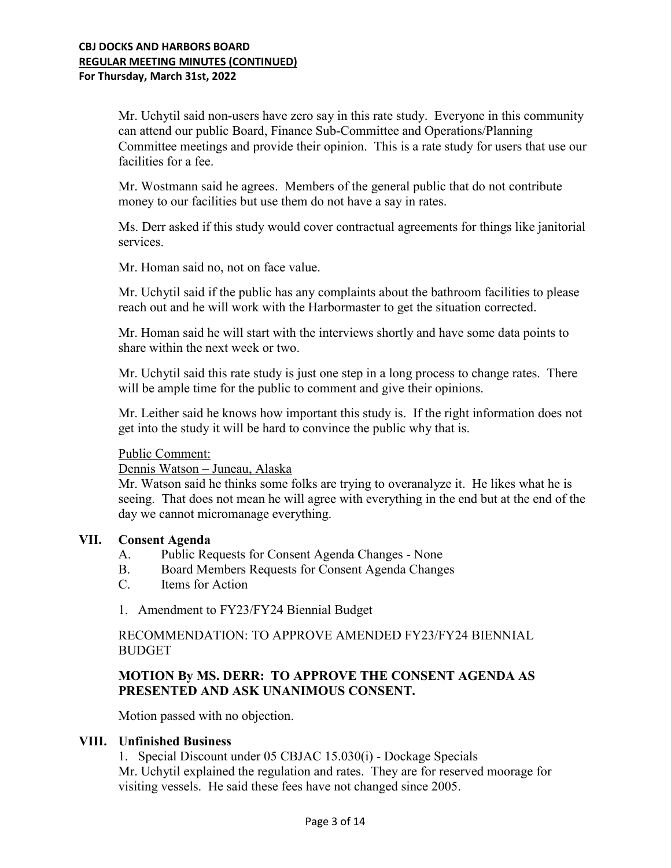Mr. Uchytil said non-users have zero say in this rate study. Everyone in this community can attend our public Board, Finance Sub-Committee and Operations/Planning Committee meetings and provide their opinion. This is a rate study for users that use our facilities for a fee.

Mr. Wostmann said he agrees. Members of the general public that do not contribute money to our facilities but use them do not have a say in rates.

Ms. Derr asked if this study would cover contractual agreements for things like janitorial services.

Mr. Homan said no, not on face value.

Mr. Uchytil said if the public has any complaints about the bathroom facilities to please reach out and he will work with the Harbormaster to get the situation corrected.

Mr. Homan said he will start with the interviews shortly and have some data points to share within the next week or two.

Mr. Uchytil said this rate study is just one step in a long process to change rates. There will be ample time for the public to comment and give their opinions.

Mr. Leither said he knows how important this study is. If the right information does not get into the study it will be hard to convince the public why that is.

#### Public Comment:

Dennis Watson – Juneau, Alaska

Mr. Watson said he thinks some folks are trying to overanalyze it. He likes what he is seeing. That does not mean he will agree with everything in the end but at the end of the day we cannot micromanage everything.

#### **VII. Consent Agenda**

- A. Public Requests for Consent Agenda Changes None
- B. Board Members Requests for Consent Agenda Changes
- C. Items for Action
- 1. Amendment to FY23/FY24 Biennial Budget

RECOMMENDATION: TO APPROVE AMENDED FY23/FY24 BIENNIAL BUDGET

## **MOTION By MS. DERR: TO APPROVE THE CONSENT AGENDA AS PRESENTED AND ASK UNANIMOUS CONSENT.**

Motion passed with no objection.

### **VIII. Unfinished Business**

1. Special Discount under 05 CBJAC 15.030(i) - Dockage Specials Mr. Uchytil explained the regulation and rates. They are for reserved moorage for visiting vessels. He said these fees have not changed since 2005.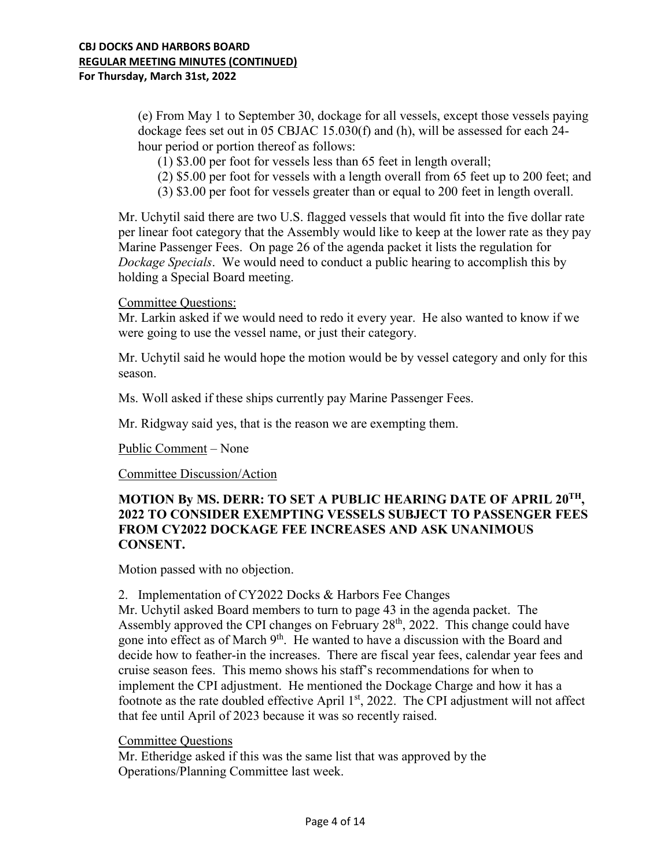(e) From May 1 to September 30, dockage for all vessels, except those vessels paying dockage fees set out in 05 CBJAC 15.030(f) and (h), will be assessed for each 24 hour period or portion thereof as follows:

(1) \$3.00 per foot for vessels less than 65 feet in length overall;

- (2) \$5.00 per foot for vessels with a length overall from 65 feet up to 200 feet; and
- (3) \$3.00 per foot for vessels greater than or equal to 200 feet in length overall.

Mr. Uchytil said there are two U.S. flagged vessels that would fit into the five dollar rate per linear foot category that the Assembly would like to keep at the lower rate as they pay Marine Passenger Fees. On page 26 of the agenda packet it lists the regulation for *Dockage Specials*. We would need to conduct a public hearing to accomplish this by holding a Special Board meeting.

### Committee Questions:

Mr. Larkin asked if we would need to redo it every year. He also wanted to know if we were going to use the vessel name, or just their category.

Mr. Uchytil said he would hope the motion would be by vessel category and only for this season.

Ms. Woll asked if these ships currently pay Marine Passenger Fees.

Mr. Ridgway said yes, that is the reason we are exempting them.

Public Comment – None

Committee Discussion/Action

## **MOTION By MS. DERR: TO SET A PUBLIC HEARING DATE OF APRIL 20TH, 2022 TO CONSIDER EXEMPTING VESSELS SUBJECT TO PASSENGER FEES FROM CY2022 DOCKAGE FEE INCREASES AND ASK UNANIMOUS CONSENT.**

Motion passed with no objection.

#### 2. Implementation of CY2022 Docks & Harbors Fee Changes

Mr. Uchytil asked Board members to turn to page 43 in the agenda packet. The Assembly approved the CPI changes on February 28<sup>th</sup>, 2022. This change could have gone into effect as of March 9<sup>th</sup>. He wanted to have a discussion with the Board and decide how to feather-in the increases. There are fiscal year fees, calendar year fees and cruise season fees. This memo shows his staff's recommendations for when to implement the CPI adjustment. He mentioned the Dockage Charge and how it has a footnote as the rate doubled effective April  $1<sup>st</sup>$ , 2022. The CPI adjustment will not affect that fee until April of 2023 because it was so recently raised.

## Committee Questions

Mr. Etheridge asked if this was the same list that was approved by the Operations/Planning Committee last week.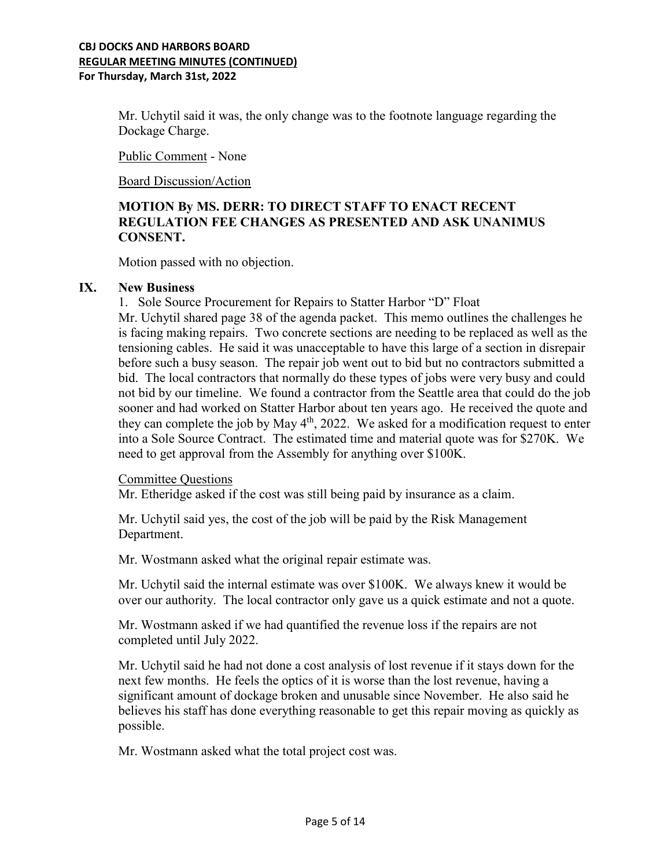### **CBJ DOCKS AND HARBORS BOARD REGULAR MEETING MINUTES (CONTINUED) For Thursday, March 31st, 2022**

Mr. Uchytil said it was, the only change was to the footnote language regarding the Dockage Charge.

Public Comment - None

Board Discussion/Action

# **MOTION By MS. DERR: TO DIRECT STAFF TO ENACT RECENT REGULATION FEE CHANGES AS PRESENTED AND ASK UNANIMUS CONSENT.**

Motion passed with no objection.

### **IX. New Business**

1. Sole Source Procurement for Repairs to Statter Harbor "D" Float Mr. Uchytil shared page 38 of the agenda packet. This memo outlines the challenges he is facing making repairs. Two concrete sections are needing to be replaced as well as the tensioning cables. He said it was unacceptable to have this large of a section in disrepair before such a busy season. The repair job went out to bid but no contractors submitted a bid. The local contractors that normally do these types of jobs were very busy and could not bid by our timeline. We found a contractor from the Seattle area that could do the job sooner and had worked on Statter Harbor about ten years ago. He received the quote and they can complete the job by May  $4<sup>th</sup>$ , 2022. We asked for a modification request to enter into a Sole Source Contract. The estimated time and material quote was for \$270K. We need to get approval from the Assembly for anything over \$100K.

#### Committee Questions

Mr. Etheridge asked if the cost was still being paid by insurance as a claim.

Mr. Uchytil said yes, the cost of the job will be paid by the Risk Management Department.

Mr. Wostmann asked what the original repair estimate was.

Mr. Uchytil said the internal estimate was over \$100K. We always knew it would be over our authority. The local contractor only gave us a quick estimate and not a quote.

Mr. Wostmann asked if we had quantified the revenue loss if the repairs are not completed until July 2022.

Mr. Uchytil said he had not done a cost analysis of lost revenue if it stays down for the next few months. He feels the optics of it is worse than the lost revenue, having a significant amount of dockage broken and unusable since November. He also said he believes his staff has done everything reasonable to get this repair moving as quickly as possible.

Mr. Wostmann asked what the total project cost was.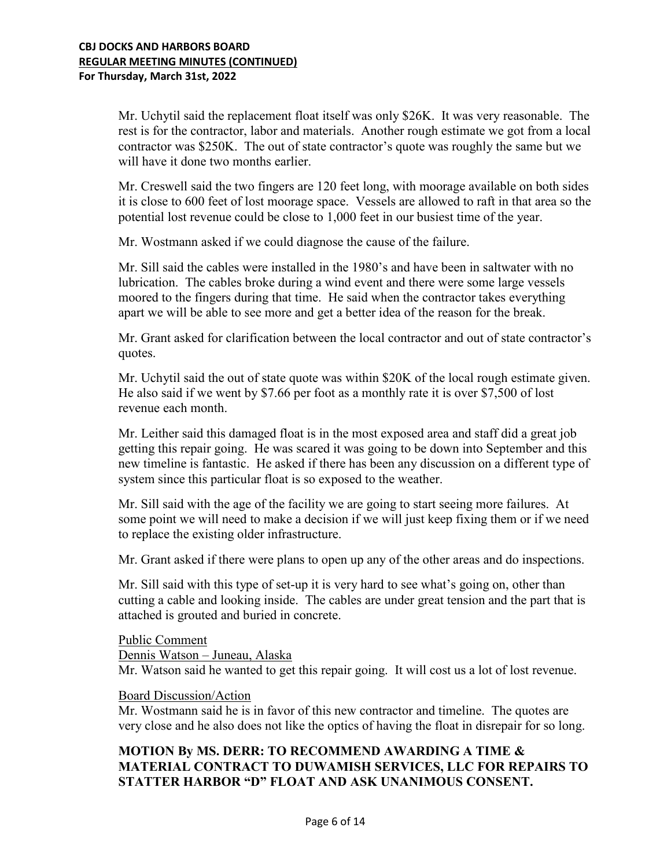Mr. Uchytil said the replacement float itself was only \$26K. It was very reasonable. The rest is for the contractor, labor and materials. Another rough estimate we got from a local contractor was \$250K. The out of state contractor's quote was roughly the same but we will have it done two months earlier.

Mr. Creswell said the two fingers are 120 feet long, with moorage available on both sides it is close to 600 feet of lost moorage space. Vessels are allowed to raft in that area so the potential lost revenue could be close to 1,000 feet in our busiest time of the year.

Mr. Wostmann asked if we could diagnose the cause of the failure.

Mr. Sill said the cables were installed in the 1980's and have been in saltwater with no lubrication. The cables broke during a wind event and there were some large vessels moored to the fingers during that time. He said when the contractor takes everything apart we will be able to see more and get a better idea of the reason for the break.

Mr. Grant asked for clarification between the local contractor and out of state contractor's quotes.

Mr. Uchytil said the out of state quote was within \$20K of the local rough estimate given. He also said if we went by \$7.66 per foot as a monthly rate it is over \$7,500 of lost revenue each month.

Mr. Leither said this damaged float is in the most exposed area and staff did a great job getting this repair going. He was scared it was going to be down into September and this new timeline is fantastic. He asked if there has been any discussion on a different type of system since this particular float is so exposed to the weather.

Mr. Sill said with the age of the facility we are going to start seeing more failures. At some point we will need to make a decision if we will just keep fixing them or if we need to replace the existing older infrastructure.

Mr. Grant asked if there were plans to open up any of the other areas and do inspections.

Mr. Sill said with this type of set-up it is very hard to see what's going on, other than cutting a cable and looking inside. The cables are under great tension and the part that is attached is grouted and buried in concrete.

Public Comment Dennis Watson – Juneau, Alaska Mr. Watson said he wanted to get this repair going. It will cost us a lot of lost revenue.

#### Board Discussion/Action

Mr. Wostmann said he is in favor of this new contractor and timeline. The quotes are very close and he also does not like the optics of having the float in disrepair for so long.

# **MOTION By MS. DERR: TO RECOMMEND AWARDING A TIME & MATERIAL CONTRACT TO DUWAMISH SERVICES, LLC FOR REPAIRS TO STATTER HARBOR "D" FLOAT AND ASK UNANIMOUS CONSENT.**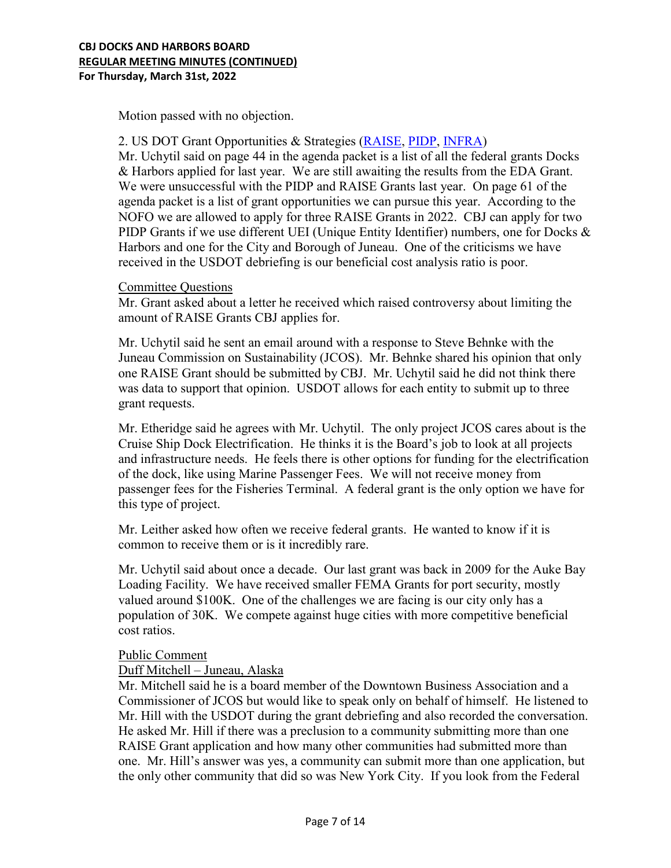Motion passed with no objection.

### 2. US DOT Grant Opportunities & Strategies [\(RAISE,](https://www.transportation.gov/raise/raise-2022-how-apply-webinar) [PIDP,](https://www.maritime.dot.gov/office-port-infrastructure-development/port-and-terminal-infrastructure-development/port-2) [INFRA\)](https://www.transportation.gov/grants/infra-grants-program)

Mr. Uchytil said on page 44 in the agenda packet is a list of all the federal grants Docks & Harbors applied for last year. We are still awaiting the results from the EDA Grant. We were unsuccessful with the PIDP and RAISE Grants last year. On page 61 of the agenda packet is a list of grant opportunities we can pursue this year. According to the NOFO we are allowed to apply for three RAISE Grants in 2022. CBJ can apply for two PIDP Grants if we use different UEI (Unique Entity Identifier) numbers, one for Docks & Harbors and one for the City and Borough of Juneau. One of the criticisms we have received in the USDOT debriefing is our beneficial cost analysis ratio is poor.

### Committee Questions

Mr. Grant asked about a letter he received which raised controversy about limiting the amount of RAISE Grants CBJ applies for.

Mr. Uchytil said he sent an email around with a response to Steve Behnke with the Juneau Commission on Sustainability (JCOS). Mr. Behnke shared his opinion that only one RAISE Grant should be submitted by CBJ. Mr. Uchytil said he did not think there was data to support that opinion. USDOT allows for each entity to submit up to three grant requests.

Mr. Etheridge said he agrees with Mr. Uchytil. The only project JCOS cares about is the Cruise Ship Dock Electrification. He thinks it is the Board's job to look at all projects and infrastructure needs. He feels there is other options for funding for the electrification of the dock, like using Marine Passenger Fees. We will not receive money from passenger fees for the Fisheries Terminal. A federal grant is the only option we have for this type of project.

Mr. Leither asked how often we receive federal grants. He wanted to know if it is common to receive them or is it incredibly rare.

Mr. Uchytil said about once a decade. Our last grant was back in 2009 for the Auke Bay Loading Facility. We have received smaller FEMA Grants for port security, mostly valued around \$100K. One of the challenges we are facing is our city only has a population of 30K. We compete against huge cities with more competitive beneficial cost ratios.

#### Public Comment

## Duff Mitchell – Juneau, Alaska

Mr. Mitchell said he is a board member of the Downtown Business Association and a Commissioner of JCOS but would like to speak only on behalf of himself. He listened to Mr. Hill with the USDOT during the grant debriefing and also recorded the conversation. He asked Mr. Hill if there was a preclusion to a community submitting more than one RAISE Grant application and how many other communities had submitted more than one. Mr. Hill's answer was yes, a community can submit more than one application, but the only other community that did so was New York City. If you look from the Federal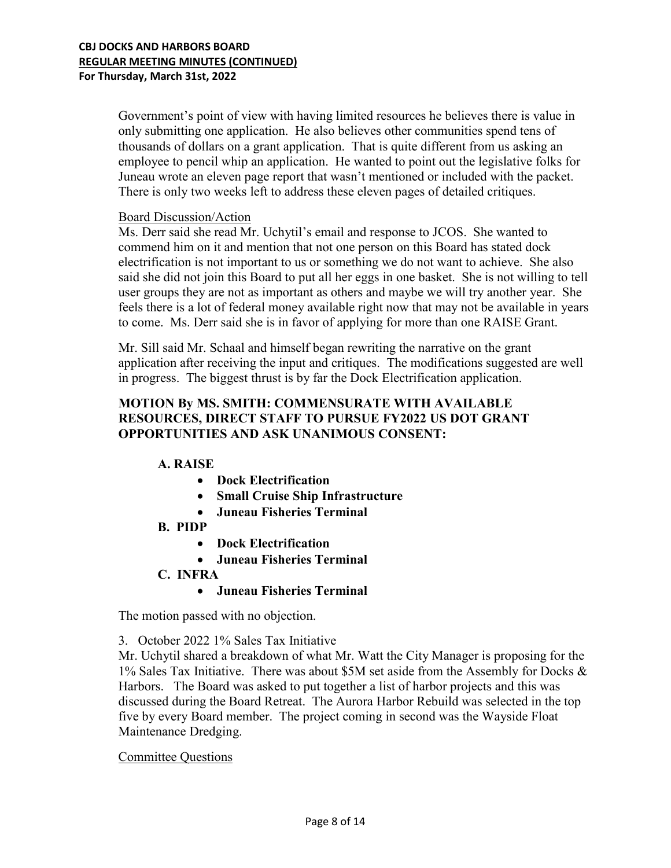Government's point of view with having limited resources he believes there is value in only submitting one application. He also believes other communities spend tens of thousands of dollars on a grant application. That is quite different from us asking an employee to pencil whip an application. He wanted to point out the legislative folks for Juneau wrote an eleven page report that wasn't mentioned or included with the packet. There is only two weeks left to address these eleven pages of detailed critiques.

## Board Discussion/Action

Ms. Derr said she read Mr. Uchytil's email and response to JCOS. She wanted to commend him on it and mention that not one person on this Board has stated dock electrification is not important to us or something we do not want to achieve. She also said she did not join this Board to put all her eggs in one basket. She is not willing to tell user groups they are not as important as others and maybe we will try another year. She feels there is a lot of federal money available right now that may not be available in years to come. Ms. Derr said she is in favor of applying for more than one RAISE Grant.

Mr. Sill said Mr. Schaal and himself began rewriting the narrative on the grant application after receiving the input and critiques. The modifications suggested are well in progress. The biggest thrust is by far the Dock Electrification application.

# **MOTION By MS. SMITH: COMMENSURATE WITH AVAILABLE RESOURCES, DIRECT STAFF TO PURSUE FY2022 US DOT GRANT OPPORTUNITIES AND ASK UNANIMOUS CONSENT:**

# **A. RAISE**

- **Dock Electrification**
- **Small Cruise Ship Infrastructure**
- **Juneau Fisheries Terminal**
- **B. PIDP** 
	- **Dock Electrification**
	- **Juneau Fisheries Terminal**
- **C. INFRA**

## • **Juneau Fisheries Terminal**

The motion passed with no objection.

3. October 2022 1% Sales Tax Initiative

Mr. Uchytil shared a breakdown of what Mr. Watt the City Manager is proposing for the 1% Sales Tax Initiative. There was about \$5M set aside from the Assembly for Docks & Harbors. The Board was asked to put together a list of harbor projects and this was discussed during the Board Retreat. The Aurora Harbor Rebuild was selected in the top five by every Board member. The project coming in second was the Wayside Float Maintenance Dredging.

## Committee Questions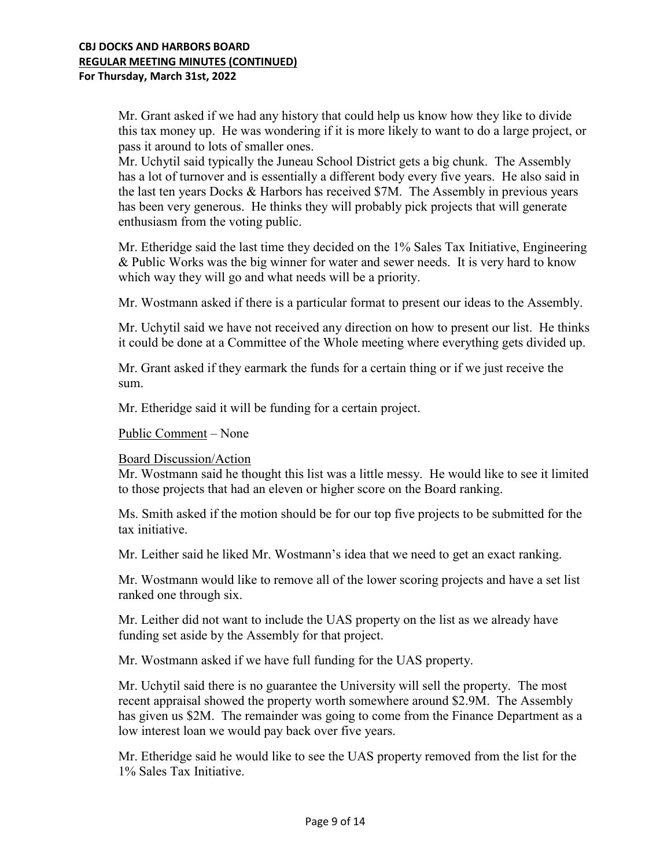Mr. Grant asked if we had any history that could help us know how they like to divide this tax money up. He was wondering if it is more likely to want to do a large project, or pass it around to lots of smaller ones.

Mr. Uchytil said typically the Juneau School District gets a big chunk. The Assembly has a lot of turnover and is essentially a different body every five years. He also said in the last ten years Docks & Harbors has received \$7M. The Assembly in previous years has been very generous. He thinks they will probably pick projects that will generate enthusiasm from the voting public.

Mr. Etheridge said the last time they decided on the 1% Sales Tax Initiative, Engineering & Public Works was the big winner for water and sewer needs. It is very hard to know which way they will go and what needs will be a priority.

Mr. Wostmann asked if there is a particular format to present our ideas to the Assembly.

Mr. Uchytil said we have not received any direction on how to present our list. He thinks it could be done at a Committee of the Whole meeting where everything gets divided up.

Mr. Grant asked if they earmark the funds for a certain thing or if we just receive the sum.

Mr. Etheridge said it will be funding for a certain project.

Public Comment – None

#### Board Discussion/Action

Mr. Wostmann said he thought this list was a little messy. He would like to see it limited to those projects that had an eleven or higher score on the Board ranking.

Ms. Smith asked if the motion should be for our top five projects to be submitted for the tax initiative.

Mr. Leither said he liked Mr. Wostmann's idea that we need to get an exact ranking.

Mr. Wostmann would like to remove all of the lower scoring projects and have a set list ranked one through six.

Mr. Leither did not want to include the UAS property on the list as we already have funding set aside by the Assembly for that project.

Mr. Wostmann asked if we have full funding for the UAS property.

Mr. Uchytil said there is no guarantee the University will sell the property. The most recent appraisal showed the property worth somewhere around \$2.9M. The Assembly has given us \$2M. The remainder was going to come from the Finance Department as a low interest loan we would pay back over five years.

Mr. Etheridge said he would like to see the UAS property removed from the list for the 1% Sales Tax Initiative.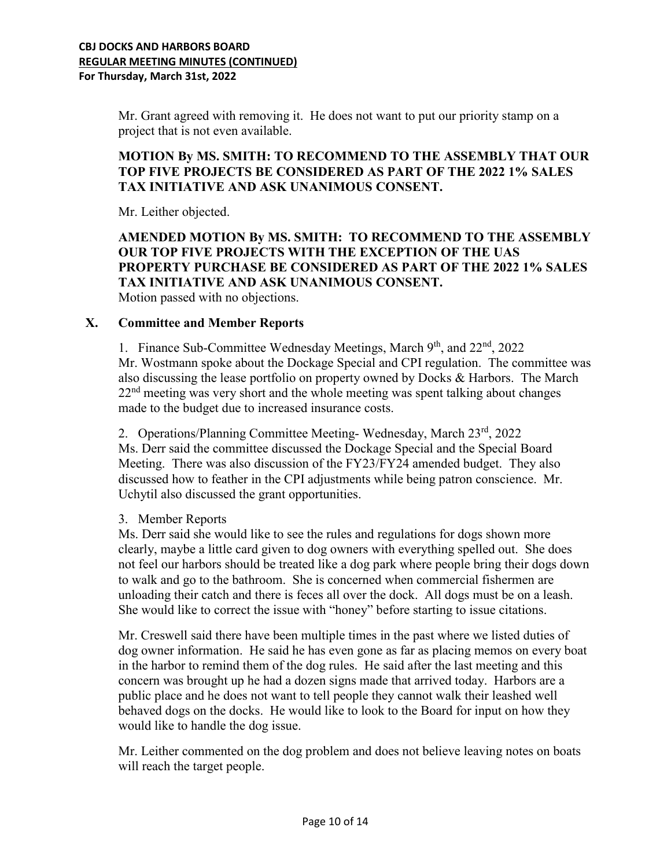Mr. Grant agreed with removing it. He does not want to put our priority stamp on a project that is not even available.

# **MOTION By MS. SMITH: TO RECOMMEND TO THE ASSEMBLY THAT OUR TOP FIVE PROJECTS BE CONSIDERED AS PART OF THE 2022 1% SALES TAX INITIATIVE AND ASK UNANIMOUS CONSENT.**

Mr. Leither objected.

## **AMENDED MOTION By MS. SMITH: TO RECOMMEND TO THE ASSEMBLY OUR TOP FIVE PROJECTS WITH THE EXCEPTION OF THE UAS PROPERTY PURCHASE BE CONSIDERED AS PART OF THE 2022 1% SALES TAX INITIATIVE AND ASK UNANIMOUS CONSENT.**  Motion passed with no objections.

### **X. Committee and Member Reports**

1. Finance Sub-Committee Wednesday Meetings, March 9<sup>th</sup>, and 22<sup>nd</sup>, 2022 Mr. Wostmann spoke about the Dockage Special and CPI regulation. The committee was also discussing the lease portfolio on property owned by Docks & Harbors. The March 22<sup>nd</sup> meeting was very short and the whole meeting was spent talking about changes made to the budget due to increased insurance costs.

2. Operations/Planning Committee Meeting-Wednesday, March 23rd, 2022 Ms. Derr said the committee discussed the Dockage Special and the Special Board Meeting. There was also discussion of the FY23/FY24 amended budget. They also discussed how to feather in the CPI adjustments while being patron conscience. Mr. Uchytil also discussed the grant opportunities.

#### 3. Member Reports

Ms. Derr said she would like to see the rules and regulations for dogs shown more clearly, maybe a little card given to dog owners with everything spelled out. She does not feel our harbors should be treated like a dog park where people bring their dogs down to walk and go to the bathroom. She is concerned when commercial fishermen are unloading their catch and there is feces all over the dock. All dogs must be on a leash. She would like to correct the issue with "honey" before starting to issue citations.

Mr. Creswell said there have been multiple times in the past where we listed duties of dog owner information. He said he has even gone as far as placing memos on every boat in the harbor to remind them of the dog rules. He said after the last meeting and this concern was brought up he had a dozen signs made that arrived today. Harbors are a public place and he does not want to tell people they cannot walk their leashed well behaved dogs on the docks. He would like to look to the Board for input on how they would like to handle the dog issue.

Mr. Leither commented on the dog problem and does not believe leaving notes on boats will reach the target people.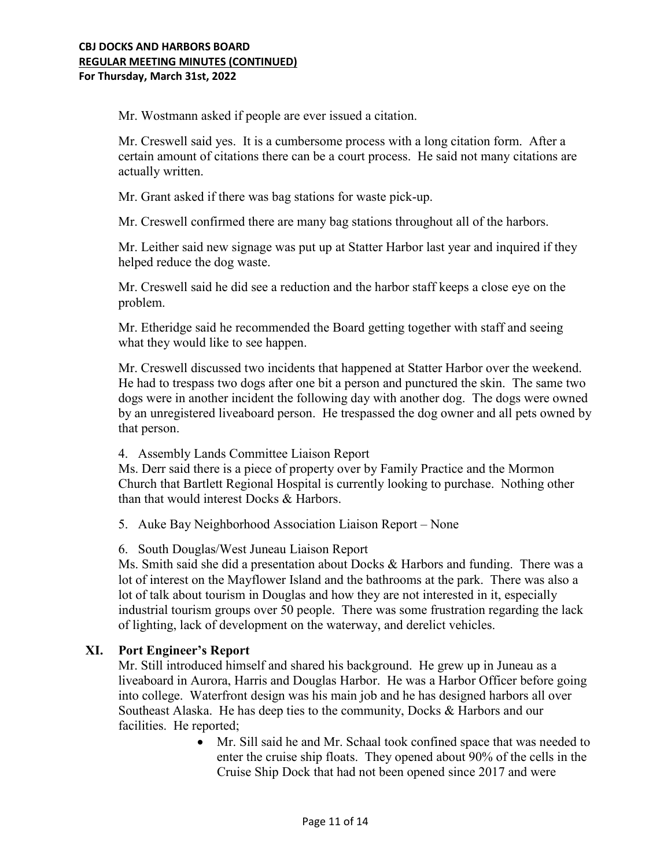Mr. Wostmann asked if people are ever issued a citation.

Mr. Creswell said yes. It is a cumbersome process with a long citation form. After a certain amount of citations there can be a court process. He said not many citations are actually written.

Mr. Grant asked if there was bag stations for waste pick-up.

Mr. Creswell confirmed there are many bag stations throughout all of the harbors.

Mr. Leither said new signage was put up at Statter Harbor last year and inquired if they helped reduce the dog waste.

Mr. Creswell said he did see a reduction and the harbor staff keeps a close eye on the problem.

Mr. Etheridge said he recommended the Board getting together with staff and seeing what they would like to see happen.

Mr. Creswell discussed two incidents that happened at Statter Harbor over the weekend. He had to trespass two dogs after one bit a person and punctured the skin. The same two dogs were in another incident the following day with another dog. The dogs were owned by an unregistered liveaboard person. He trespassed the dog owner and all pets owned by that person.

4. Assembly Lands Committee Liaison Report

Ms. Derr said there is a piece of property over by Family Practice and the Mormon Church that Bartlett Regional Hospital is currently looking to purchase. Nothing other than that would interest Docks & Harbors.

5. Auke Bay Neighborhood Association Liaison Report – None

6. South Douglas/West Juneau Liaison Report

Ms. Smith said she did a presentation about Docks & Harbors and funding. There was a lot of interest on the Mayflower Island and the bathrooms at the park. There was also a lot of talk about tourism in Douglas and how they are not interested in it, especially industrial tourism groups over 50 people. There was some frustration regarding the lack of lighting, lack of development on the waterway, and derelict vehicles.

## **XI. Port Engineer's Report**

Mr. Still introduced himself and shared his background. He grew up in Juneau as a liveaboard in Aurora, Harris and Douglas Harbor. He was a Harbor Officer before going into college. Waterfront design was his main job and he has designed harbors all over Southeast Alaska. He has deep ties to the community, Docks & Harbors and our facilities. He reported;

> • Mr. Sill said he and Mr. Schaal took confined space that was needed to enter the cruise ship floats. They opened about 90% of the cells in the Cruise Ship Dock that had not been opened since 2017 and were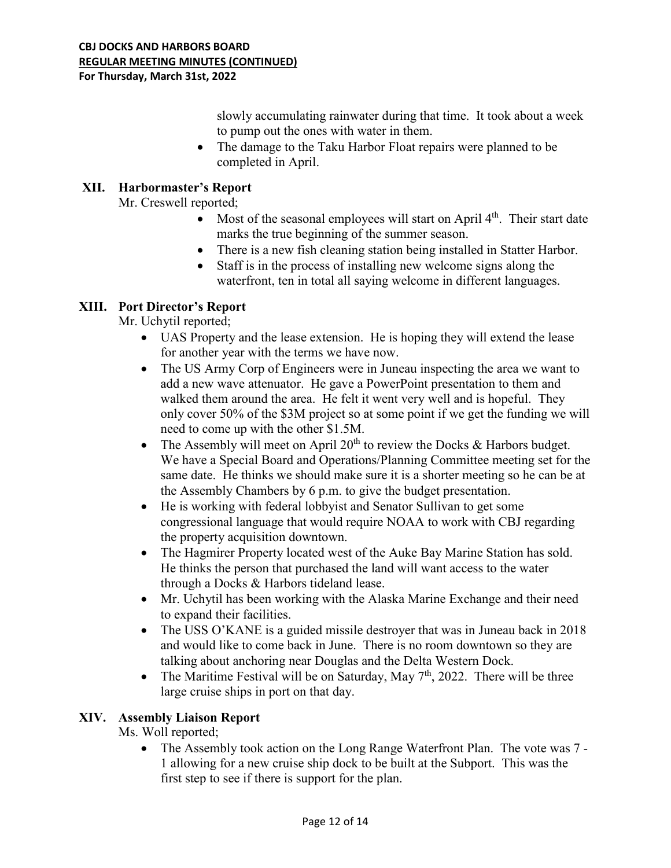slowly accumulating rainwater during that time. It took about a week to pump out the ones with water in them.

• The damage to the Taku Harbor Float repairs were planned to be completed in April.

# **XII. Harbormaster's Report**

Mr. Creswell reported;

- Most of the seasonal employees will start on April  $4<sup>th</sup>$ . Their start date marks the true beginning of the summer season.
- There is a new fish cleaning station being installed in Statter Harbor.
- Staff is in the process of installing new welcome signs along the waterfront, ten in total all saying welcome in different languages.

## **XIII. Port Director's Report**

Mr. Uchytil reported;

- UAS Property and the lease extension. He is hoping they will extend the lease for another year with the terms we have now.
- The US Army Corp of Engineers were in Juneau inspecting the area we want to add a new wave attenuator. He gave a PowerPoint presentation to them and walked them around the area. He felt it went very well and is hopeful. They only cover 50% of the \$3M project so at some point if we get the funding we will need to come up with the other \$1.5M.
- The Assembly will meet on April  $20<sup>th</sup>$  to review the Docks & Harbors budget. We have a Special Board and Operations/Planning Committee meeting set for the same date. He thinks we should make sure it is a shorter meeting so he can be at the Assembly Chambers by 6 p.m. to give the budget presentation.
- He is working with federal lobbyist and Senator Sullivan to get some congressional language that would require NOAA to work with CBJ regarding the property acquisition downtown.
- The Hagmirer Property located west of the Auke Bay Marine Station has sold. He thinks the person that purchased the land will want access to the water through a Docks & Harbors tideland lease.
- Mr. Uchytil has been working with the Alaska Marine Exchange and their need to expand their facilities.
- The USS O'KANE is a guided missile destroyer that was in Juneau back in 2018 and would like to come back in June. There is no room downtown so they are talking about anchoring near Douglas and the Delta Western Dock.
- The Maritime Festival will be on Saturday, May  $7<sup>th</sup>$ , 2022. There will be three large cruise ships in port on that day.

## **XIV. Assembly Liaison Report**

Ms. Woll reported;

• The Assembly took action on the Long Range Waterfront Plan. The vote was 7 -1 allowing for a new cruise ship dock to be built at the Subport. This was the first step to see if there is support for the plan.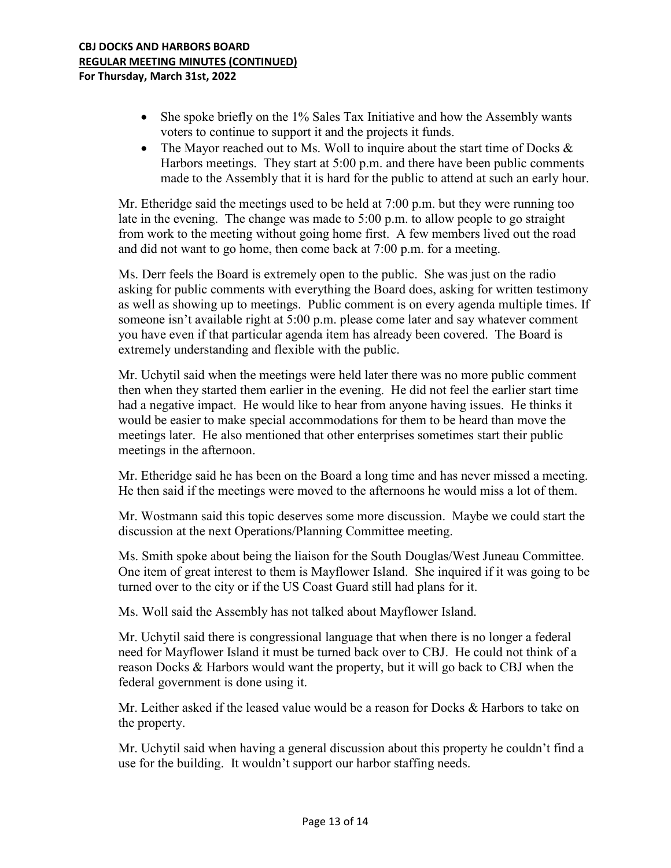- She spoke briefly on the 1% Sales Tax Initiative and how the Assembly wants voters to continue to support it and the projects it funds.
- The Mayor reached out to Ms. Woll to inquire about the start time of Docks  $\&$ Harbors meetings. They start at 5:00 p.m. and there have been public comments made to the Assembly that it is hard for the public to attend at such an early hour.

Mr. Etheridge said the meetings used to be held at 7:00 p.m. but they were running too late in the evening. The change was made to 5:00 p.m. to allow people to go straight from work to the meeting without going home first. A few members lived out the road and did not want to go home, then come back at 7:00 p.m. for a meeting.

Ms. Derr feels the Board is extremely open to the public. She was just on the radio asking for public comments with everything the Board does, asking for written testimony as well as showing up to meetings. Public comment is on every agenda multiple times. If someone isn't available right at 5:00 p.m. please come later and say whatever comment you have even if that particular agenda item has already been covered. The Board is extremely understanding and flexible with the public.

Mr. Uchytil said when the meetings were held later there was no more public comment then when they started them earlier in the evening. He did not feel the earlier start time had a negative impact. He would like to hear from anyone having issues. He thinks it would be easier to make special accommodations for them to be heard than move the meetings later. He also mentioned that other enterprises sometimes start their public meetings in the afternoon.

Mr. Etheridge said he has been on the Board a long time and has never missed a meeting. He then said if the meetings were moved to the afternoons he would miss a lot of them.

Mr. Wostmann said this topic deserves some more discussion. Maybe we could start the discussion at the next Operations/Planning Committee meeting.

Ms. Smith spoke about being the liaison for the South Douglas/West Juneau Committee. One item of great interest to them is Mayflower Island. She inquired if it was going to be turned over to the city or if the US Coast Guard still had plans for it.

Ms. Woll said the Assembly has not talked about Mayflower Island.

Mr. Uchytil said there is congressional language that when there is no longer a federal need for Mayflower Island it must be turned back over to CBJ. He could not think of a reason Docks & Harbors would want the property, but it will go back to CBJ when the federal government is done using it.

Mr. Leither asked if the leased value would be a reason for Docks & Harbors to take on the property.

Mr. Uchytil said when having a general discussion about this property he couldn't find a use for the building. It wouldn't support our harbor staffing needs.